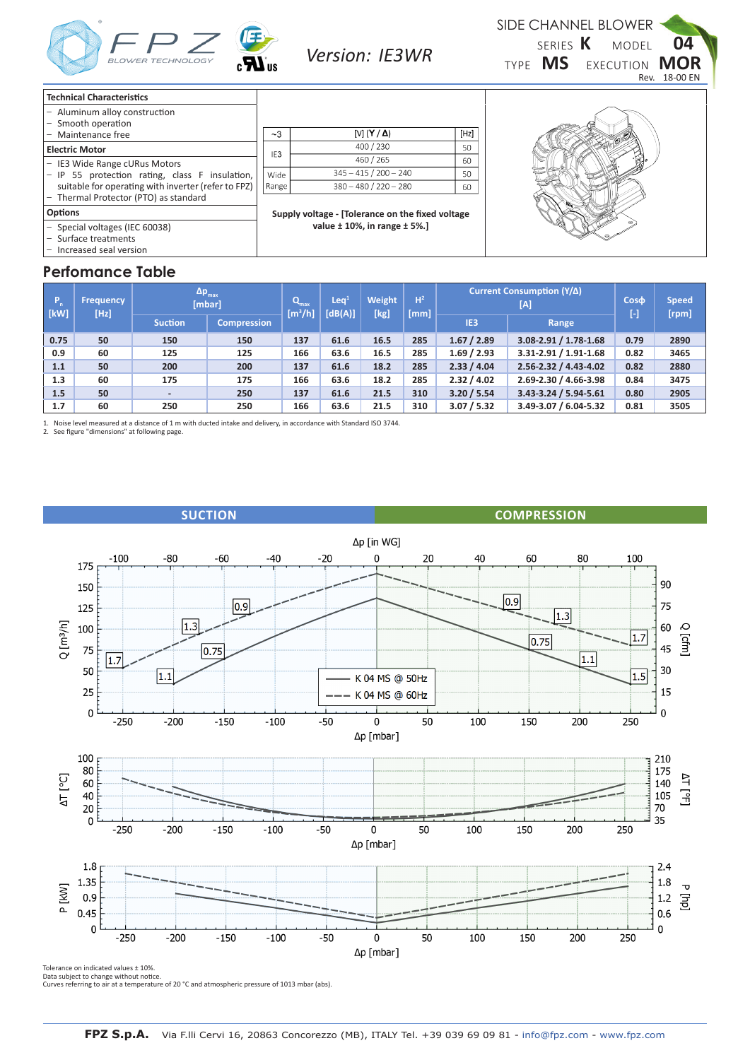

**Version:** IE3WR **K**<sub>TVPE</sub> **MS** SIDE CHANNEL BLOWER **MS** EXECUTION **MOR** SERIES K TYPE MS MODEL **04**

| <b>Technical Characteristics</b>                                       |                                                  |                                      |      |  |  |  |  |  |  |  |
|------------------------------------------------------------------------|--------------------------------------------------|--------------------------------------|------|--|--|--|--|--|--|--|
| - Aluminum alloy construction<br>Smooth operation<br>$\qquad \qquad -$ |                                                  |                                      |      |  |  |  |  |  |  |  |
| Maintenance free                                                       | ~23                                              | [V] $(Y/\Delta)$                     | [Hz] |  |  |  |  |  |  |  |
| <b>Electric Motor</b>                                                  |                                                  | 400 / 230                            | 50   |  |  |  |  |  |  |  |
| <b>IE3 Wide Range cURus Motors</b><br>$\overline{\phantom{m}}$         | IE <sub>3</sub>                                  | 460 / 265                            | 60   |  |  |  |  |  |  |  |
| IP 55 protection rating, class F insulation,<br>$\qquad \qquad -$      | Wide                                             | $345 - 415 / 200 - 240$              | 50   |  |  |  |  |  |  |  |
| suitable for operating with inverter (refer to FPZ)                    | Range                                            | $380 - 480 / 220 - 280$              | 60   |  |  |  |  |  |  |  |
| - Thermal Protector (PTO) as standard                                  |                                                  |                                      |      |  |  |  |  |  |  |  |
| <b>Options</b>                                                         | Supply voltage - [Tolerance on the fixed voltage |                                      |      |  |  |  |  |  |  |  |
| - Special voltages (IEC 60038)                                         |                                                  | value $\pm$ 10%, in range $\pm$ 5%.] |      |  |  |  |  |  |  |  |
| Surface treatments                                                     |                                                  |                                      |      |  |  |  |  |  |  |  |
| - Increased seal version                                               |                                                  |                                      |      |  |  |  |  |  |  |  |

## **Perfomance Table**

| ~1              | [V] $(Y / \Delta)$      | [Hz] |
|-----------------|-------------------------|------|
| IE <sub>3</sub> | 400 / 230               | 50   |
|                 | 460 / 265               | 60   |
| Vide            | $345 - 415 / 200 - 240$ | 50   |
| ange            | $380 - 480 / 220 - 280$ | 60   |
|                 |                         |      |



Rev. 18-00 EN

| TD.<br>$ $ [kW] | <b>Frequency</b><br>[Hz] | $\Delta p_{max}$<br>[mbar] | $\mathbf{Q}_{\text{max}}$<br>[m <sup>3</sup> /h] | Leq <sup>1</sup><br>[dB(A)] | Weight<br>[kg] | H <sup>2</sup><br>[mm] | Current Consumption (Y/A) | $Cos\phi$<br>H  | <b>Speed</b><br>[rpm]       |      |      |
|-----------------|--------------------------|----------------------------|--------------------------------------------------|-----------------------------|----------------|------------------------|---------------------------|-----------------|-----------------------------|------|------|
|                 |                          | <b>Suction</b>             | <b>Compression</b>                               |                             |                |                        |                           | IE <sub>3</sub> | Range                       |      |      |
| 0.75            | 50                       | 150                        | 150                                              | 137                         | 61.6           | 16.5                   | 285                       | 1.67 / 2.89     | $3.08 - 2.91 / 1.78 - 1.68$ | 0.79 | 2890 |
| 0.9             | 60                       | 125                        | 125                                              | 166                         | 63.6           | 16.5                   | 285                       | 1.69 / 2.93     | 3.31-2.91 / 1.91-1.68       | 0.82 | 3465 |
| 1.1             | 50                       | 200                        | 200                                              |                             | 61.6           | 18.2                   | 285                       | 2.33 / 4.04     | 2.56-2.32 / 4.43-4.02       | 0.82 | 2880 |
| 1.3             | 60                       | 175                        | 175                                              | 166                         | 63.6           | 18.2                   | 285                       | 2.32 / 4.02     | 2.69-2.30 / 4.66-3.98       | 0.84 | 3475 |
| 1.5             | 50                       | ۰.                         | 250                                              | 137                         | 61.6           | 21.5                   | 310                       | 3.20 / 5.54     | 3.43-3.24 / 5.94-5.61       | 0.80 | 2905 |
| 1.7             | 60                       | 250<br>250                 |                                                  | 166                         | 63.6           | 21.5                   | 310                       | 3.07 / 5.32     | 3.49-3.07 / 6.04-5.32       | 0.81 | 3505 |

1. Noise level measured at a distance of 1 m with ducted intake and delivery, in accordance with Standard ISO 3744. 2. See figure "dimensions" at following page.





Tolerance on indicated values ± 10%.

Data subject to change without notice. Curves referring to air at a temperature of 20 °C and atmospheric pressure of 1013 mbar (abs).